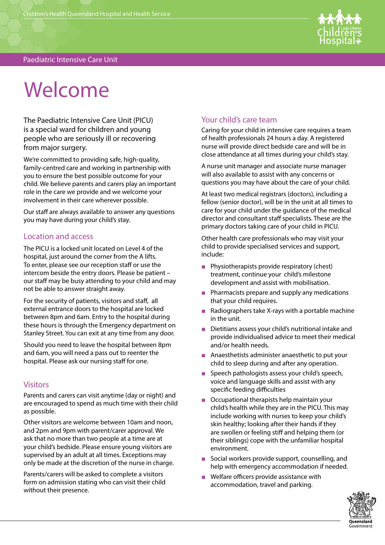

# Welcome

The Paediatric Intensive Care Unit (PICU) is a special ward for children and young people who are seriously ill or recovering from major surgery.

We're committed to providing safe, high-quality, family-centred care and working in partnership with you to ensure the best possible outcome for your child. We believe parents and carers play an important role in the care we provide and we welcome your involvement in their care wherever possible.

Our staff are always available to answer any questions you may have during your child's stay.

#### Location and access

The PICU is a locked unit located on Level 4 of the hospital, just around the corner from the A lifts. To enter, please see our reception staff or use the intercom beside the entry doors. Please be patient – our staff may be busy attending to your child and may not be able to answer straight away.

For the security of patients, visitors and staff, all external entrance doors to the hospital are locked between 8pm and 6am. Entry to the hospital during these hours is through the Emergency department on Stanley Street. You can exit at any time from any door.

Should you need to leave the hospital between 8pm and 6am, you will need a pass out to reenter the hospital. Please ask our nursing staff for one.

#### **Visitors**

Parents and carers can visit anytime (day or night) and are encouraged to spend as much time with their child as possible.

Other visitors are welcome between 10am and noon, and 2pm and 9pm with parent/carer approval. We ask that no more than two people at a time are at your child's bedside. Please ensure young visitors are supervised by an adult at all times. Exceptions may only be made at the discretion of the nurse in charge.

Parents/carers will be asked to complete a visitors form on admission stating who can visit their child without their presence.

# Your child's care team

Caring for your child in intensive care requires a team of health professionals 24 hours a day. A registered nurse will provide direct bedside care and will be in close attendance at all times during your child's stay.

A nurse unit manager and associate nurse manager will also available to assist with any concerns or questions you may have about the care of your child.

At least two medical registrars (doctors), including a fellow (senior doctor), will be in the unit at all times to care for your child under the guidance of the medical director and consultant staff specialists. These are the primary doctors taking care of your child in PICU.

Other health care professionals who may visit your child to provide specialised services and support, include:

- Physiotherapists provide respiratory (chest) treatment, continue your child's milestone development and assist with mobilisation.
- Pharmacists prepare and supply any medications that your child requires.
- Radiographers take X-rays with a portable machine in the unit.
- Dietitians assess your child's nutritional intake and provide individualised advice to meet their medical and/or health needs.
- Anaesthetists administer anaesthetic to put your child to sleep during and after any operation.
- Speech pathologists assess your child's speech, voice and language skills and assist with any specific feeding difficulties
- Occupational therapists help maintain your child's health while they are in the PICU. This may include working with nurses to keep your child's skin healthy; looking after their hands if they are swollen or feeling stiff and helping them (or their siblings) cope with the unfamiliar hospital environment.
- Social workers provide support, counselling, and help with emergency accommodation if needed.
- Welfare officers provide assistance with accommodation, travel and parking.

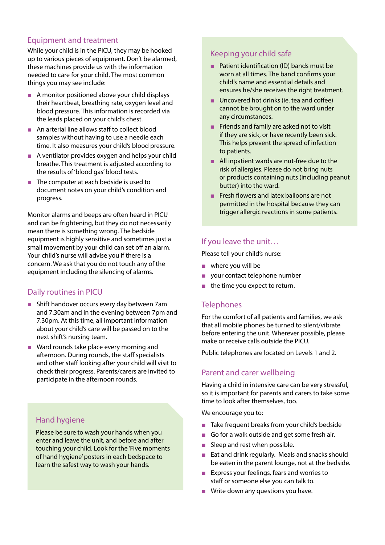## Equipment and treatment

While your child is in the PICU, they may be hooked up to various pieces of equipment. Don't be alarmed, these machines provide us with the information needed to care for your child. The most common things you may see include:

- A monitor positioned above your child displays their heartbeat, breathing rate, oxygen level and blood pressure. This information is recorded via the leads placed on your child's chest.
- An arterial line allows staff to collect blood samples without having to use a needle each time. It also measures your child's blood pressure.
- A ventilator provides oxygen and helps your child breathe. This treatment is adjusted according to the results of 'blood gas' blood tests.
- The computer at each bedside is used to document notes on your child's condition and progress.

Monitor alarms and beeps are often heard in PICU and can be frightening, but they do not necessarily mean there is something wrong. The bedside equipment is highly sensitive and sometimes just a small movement by your child can set off an alarm. Your child's nurse will advise you if there is a concern. We ask that you do not touch any of the equipment including the silencing of alarms.

#### Daily routines in PICU

- Shift handover occurs every day between 7am and 7.30am and in the evening between 7pm and 7.30pm. At this time, all important information about your child's care will be passed on to the next shift's nursing team.
- Ward rounds take place every morning and afternoon. During rounds, the staff specialists and other staff looking after your child will visit to check their progress. Parents/carers are invited to participate in the afternoon rounds.

# Hand hygiene

Please be sure to wash your hands when you enter and leave the unit, and before and after touching your child. Look for the 'Five moments of hand hygiene' posters in each bedspace to learn the safest way to wash your hands.

### Keeping your child safe

- Patient identification (ID) bands must be worn at all times. The band confirms your child's name and essential details and ensures he/she receives the right treatment.
- Uncovered hot drinks (ie. tea and coffee) cannot be brought on to the ward under any circumstances.
- Friends and family are asked not to visit if they are sick, or have recently been sick. This helps prevent the spread of infection to patients.
- All inpatient wards are nut-free due to the risk of allergies. Please do not bring nuts or products containing nuts (including peanut butter) into the ward.
- Fresh flowers and latex balloons are not permitted in the hospital because they can trigger allergic reactions in some patients.

## If you leave the unit…

Please tell your child's nurse:

- where you will be
- your contact telephone number
- the time you expect to return.

## **Telephones**

For the comfort of all patients and families, we ask that all mobile phones be turned to silent/vibrate before entering the unit. Wherever possible, please make or receive calls outside the PICU.

Public telephones are located on Levels 1 and 2.

#### Parent and carer wellbeing

Having a child in intensive care can be very stressful, so it is important for parents and carers to take some time to look after themselves, too.

We encourage you to:

- Take frequent breaks from your child's bedside
- Go for a walk outside and get some fresh air.
- Sleep and rest when possible.
- Eat and drink regularly. Meals and snacks should be eaten in the parent lounge, not at the bedside.
- Express your feelings, fears and worries to staff or someone else you can talk to.
- Write down any questions you have.